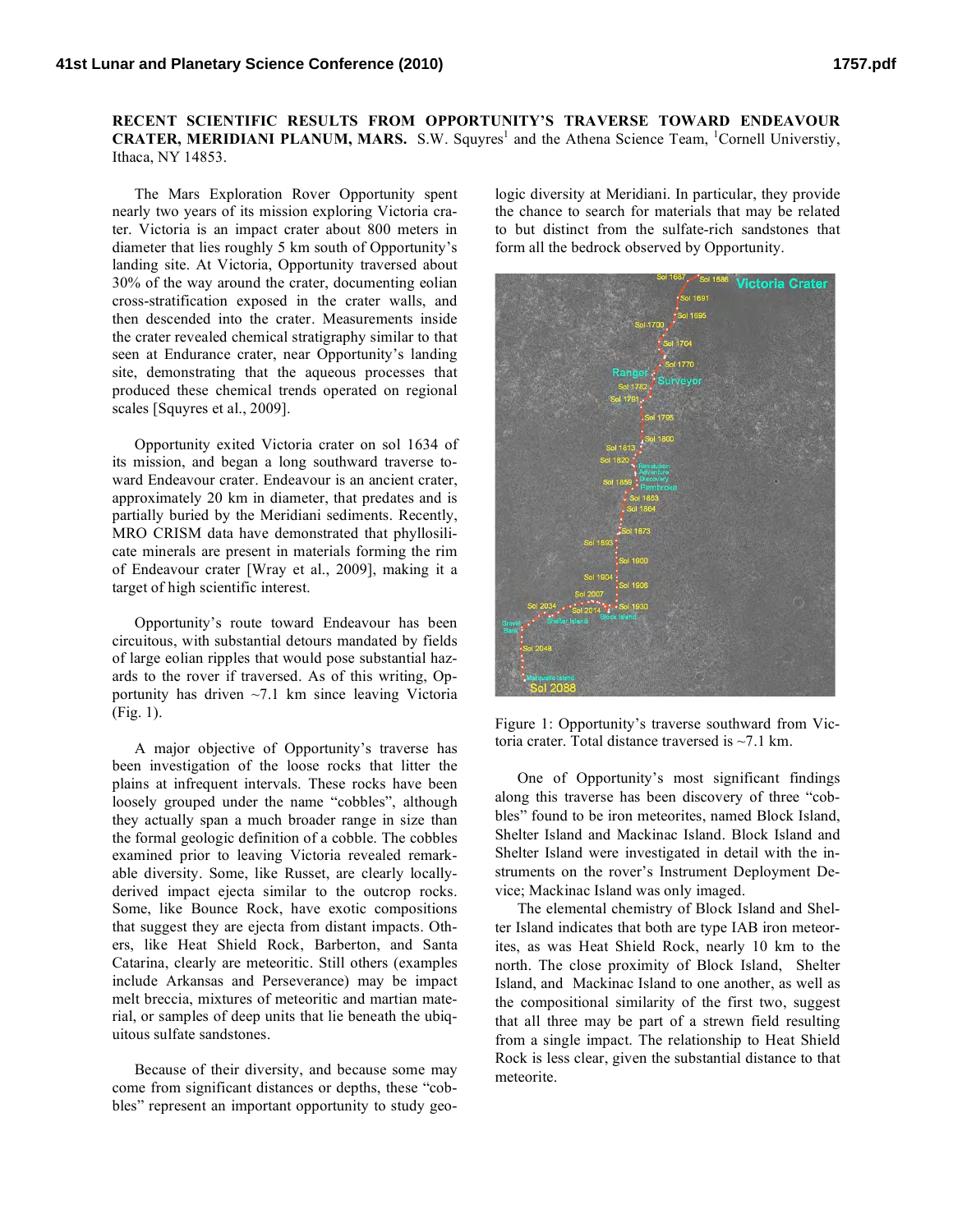## **RECENT SCIENTIFIC RESULTS FROM OPPORTUNITY'S TRAVERSE TOWARD ENDEAVOUR CRATER, MERIDIANI PLANUM, MARS.** S.W. Squyres<sup>1</sup> and the Athena Science Team, <sup>1</sup>Cornell Universtiy, Ithaca, NY 14853.

The Mars Exploration Rover Opportunity spent nearly two years of its mission exploring Victoria crater. Victoria is an impact crater about 800 meters in diameter that lies roughly 5 km south of Opportunity's landing site. At Victoria, Opportunity traversed about 30% of the way around the crater, documenting eolian cross-stratification exposed in the crater walls, and then descended into the crater. Measurements inside the crater revealed chemical stratigraphy similar to that seen at Endurance crater, near Opportunity's landing site, demonstrating that the aqueous processes that produced these chemical trends operated on regional scales [Squyres et al., 2009].

Opportunity exited Victoria crater on sol 1634 of its mission, and began a long southward traverse toward Endeavour crater. Endeavour is an ancient crater, approximately 20 km in diameter, that predates and is partially buried by the Meridiani sediments. Recently, MRO CRISM data have demonstrated that phyllosilicate minerals are present in materials forming the rim of Endeavour crater [Wray et al., 2009], making it a target of high scientific interest.

Opportunity's route toward Endeavour has been circuitous, with substantial detours mandated by fields of large eolian ripples that would pose substantial hazards to the rover if traversed. As of this writing, Opportunity has driven  $\sim$ 7.1 km since leaving Victoria (Fig. 1).

A major objective of Opportunity's traverse has been investigation of the loose rocks that litter the plains at infrequent intervals. These rocks have been loosely grouped under the name "cobbles", although they actually span a much broader range in size than the formal geologic definition of a cobble. The cobbles examined prior to leaving Victoria revealed remarkable diversity. Some, like Russet, are clearly locallyderived impact ejecta similar to the outcrop rocks. Some, like Bounce Rock, have exotic compositions that suggest they are ejecta from distant impacts. Others, like Heat Shield Rock, Barberton, and Santa Catarina, clearly are meteoritic. Still others (examples include Arkansas and Perseverance) may be impact melt breccia, mixtures of meteoritic and martian material, or samples of deep units that lie beneath the ubiquitous sulfate sandstones.

Because of their diversity, and because some may come from significant distances or depths, these "cobbles" represent an important opportunity to study geologic diversity at Meridiani. In particular, they provide the chance to search for materials that may be related to but distinct from the sulfate-rich sandstones that form all the bedrock observed by Opportunity.



Figure 1: Opportunity's traverse southward from Victoria crater. Total distance traversed is ~7.1 km.

One of Opportunity's most significant findings along this traverse has been discovery of three "cobbles" found to be iron meteorites, named Block Island, Shelter Island and Mackinac Island. Block Island and Shelter Island were investigated in detail with the instruments on the rover's Instrument Deployment Device; Mackinac Island was only imaged.

The elemental chemistry of Block Island and Shelter Island indicates that both are type IAB iron meteorites, as was Heat Shield Rock, nearly 10 km to the north. The close proximity of Block Island, Shelter Island, and Mackinac Island to one another, as well as the compositional similarity of the first two, suggest that all three may be part of a strewn field resulting from a single impact. The relationship to Heat Shield Rock is less clear, given the substantial distance to that meteorite.